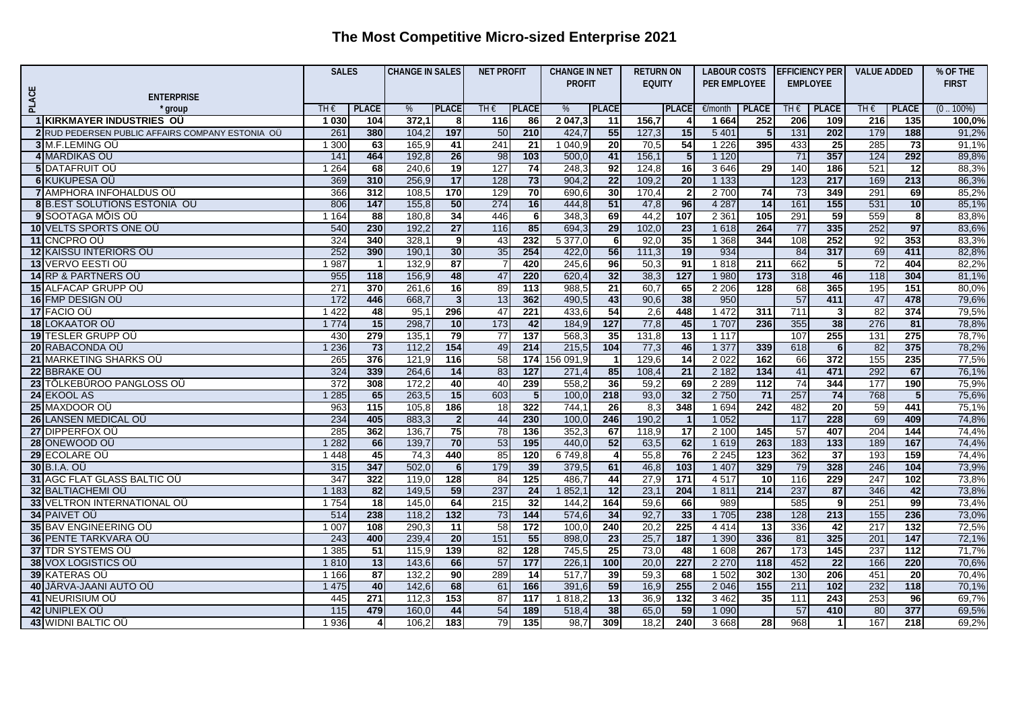|       |                                                  |               | <b>SALES</b>      |       | <b>CHANGE IN SALES</b> |                 | <b>NET PROFIT</b> | <b>CHANGE IN NET</b> |                  | <b>RETURN ON</b> |                         | <b>LABOUR COSTS</b> |                   | <b>EFFICIENCY PER</b> |                      | <b>VALUE ADDED</b> |                          | % OF THE     |
|-------|--------------------------------------------------|---------------|-------------------|-------|------------------------|-----------------|-------------------|----------------------|------------------|------------------|-------------------------|---------------------|-------------------|-----------------------|----------------------|--------------------|--------------------------|--------------|
|       |                                                  |               |                   |       |                        |                 |                   | <b>PROFIT</b>        |                  | <b>EQUITY</b>    |                         | PER EMPLOYEE        |                   | <b>EMPLOYEE</b>       |                      |                    |                          | <b>FIRST</b> |
| PLACE | <b>ENTERPRISE</b>                                |               |                   |       |                        |                 |                   |                      |                  |                  |                         |                     |                   |                       |                      |                    |                          |              |
|       | ' group                                          | TH $\epsilon$ | <b>PLACE</b>      | %     | <b>PLACE</b>           | $TH \in$        | <b>PLACE</b>      | %                    | <b>PLACE</b>     |                  | <b>PLACE</b>            | €/month             | <b>PLACE</b>      | $TH \in$              | <b>PLACE</b>         | $TH \in$           | <b>PLACE</b>             | $(0.100\%)$  |
|       | 1 KIRKMAYER INDUSTRIES OU                        | 1 0 3 0       | 104               | 372,1 | -8                     | 116             | 86                | 2047,3               | 11               | 156,7            |                         | 1664                | 252               | 206                   | 109                  | 216                | 135                      | 100,0%       |
|       | 2 RUD PEDERSEN PUBLIC AFFAIRS COMPANY ESTONIA OU | 26'           | 380               | 104,2 | 197                    | 50              | 210               | 424,7                | 55               | 127,3            | 15                      | 5 4 0 1             |                   | 131                   | 202                  | 179                | 188                      | 91,2%        |
|       | 3 M.F.LEMING OU                                  | 1 300         | 63                | 165,9 | 41                     | 241             | 21                | 040.9                | $\overline{20}$  | 70,5             | 54                      | 1 2 2 6             | 395               | 433                   | 25                   | 285                | $\overline{73}$          | 91,1%        |
|       | 4 MARDIKAS OÜ                                    | 141           | 464               | 192,8 | 26                     | 98              | 103               | 500,0                | 41               | 156,1            | 5                       | 1 1 2 0             |                   | $\overline{71}$       | 357                  | 124                | 292                      | 89,8%        |
|       | 5 DATAFRUIT OU                                   | 1264          | 68                | 240,6 | 19                     | 127             | 74                | 248,3                | 92               | 124,8            | 16                      | 3 6 4 6             | 29                | 140                   | 186                  | 521                | $\overline{\mathbf{12}}$ | 88,3%        |
|       | 6 KUKUPESA OÜ                                    | 369           | 310               | 256,9 | 17                     | 128             | 73                | 904,2                | $\overline{22}$  | 109,2            | 20                      | 1 1 3 3             |                   | 123                   | 217                  | 169                | 213                      | 86,3%        |
|       | <b>7 AMPHORA INFOHALDUS OU</b>                   | 366           | 312               | 108,5 | 170                    | 129             | 70                | 690,6                | 30               | 170.4            | $\overline{\mathbf{2}}$ | 2 700               | 74                | $\overline{73}$       | 349                  | 291                | 69                       | 85,2%        |
|       | 8 B.EST SOLUTIONS ESTONIA OU                     | 806           | $\frac{147}{147}$ | 155,8 | 50                     | 274             | 16                | 444,8                | 51               | 47,8             | 96                      | 4 2 8 7             | $\overline{14}$   | 161                   | $\overline{155}$     | 531                | 10                       | 85,1%        |
|       | 9 SOOTAGA MÕIS OÜ                                | 1 1 6 4       | $\overline{88}$   | 180,8 | 34                     | 446             | -6                | 348,3                | 69               | 44,2             | 107                     | 2 3 6 1             | 105               | 291                   | 59                   | 559                | 8                        | 83,8%        |
|       | 10 VELTS SPORTS ONE OU                           | 540           | 230               | 192,2 | 27                     | $\frac{116}{ }$ | 85                | 694,3                | $\overline{29}$  | 102,0            | 23                      | 1 6 1 8             | 264               | 77                    | 335                  | 252                | 97                       | 83,6%        |
|       | 11 CNCPRO OU                                     | 324           | 340               | 328,1 | 9                      | 43              | 232               | 5377,0               | 6                | 92,0             | 35                      | 1 3 6 8             | 344               | 108                   | 252                  | 92                 | 353                      | 83,3%        |
|       | 12 KAISSU INTERIORS OÜ                           | 252           | 390               | 190,1 | 30                     | 35              | 254               | 422,0                | 56               | 111,3            | $\overline{19}$         | 934                 |                   | 84                    | 317                  | 69                 | 411                      | 82,8%        |
|       | <b>13 VERVO EESTI OÜ</b>                         | 1987          | -1                | 132,9 | $\overline{87}$        | 7               | 420               | 245,6                | 96               | 50,3             | 91                      | 1818                | 211               | 662                   | 5                    | 72                 | 404                      | 82,2%        |
|       | 14 RP & PARTNERS OU                              | 955           | 118               | 156,9 | 48                     | 47              | 220               | 620,4                | 32               | 38,3             | 127                     | 1 9 8 0             | $\overline{173}$  | 318                   | 46                   | 118                | 304                      | 81,1%        |
|       | <b>15 ALFACAP GRUPP OÜ</b>                       | 27'           | 370               | 261,6 | 16                     | 89              | $\overline{113}$  | 988,5                | 21               | 60,7             | 65                      | 2 2 0 6             | 128               | 68                    | 365                  | 195                | 151                      | 80,0%        |
|       | 16 FMP DESIGN OU                                 | 172           | 446               | 668,7 | $\mathbf{3}$           | 13              | 362               | 490,5                | 43               | 90,6             | 38                      | 950                 |                   | 57                    | 411                  | 47                 | 478                      | 79,6%        |
|       | 17 FACIO OÜ                                      | 1422          | 48                | 95,1  | 296                    | 47              | 221               | 433,6                | $\overline{54}$  | 2,6              | 448                     | 1 4 7 2             | 311               | 711                   | 3 <sup>l</sup>       | $\overline{82}$    | 374                      | 79,5%        |
|       | <b>18 LOKAATOR OÜ</b>                            | 1 7 7 4       | 15                | 298,7 | 10                     | 173             | 42                | 184,9                | 127              | 77,8             | 45                      | 1 7 0 7             | 236               | 355                   | 38                   | 276                | 81                       | 78,8%        |
|       | <b>19 TESLER GRUPP OÜ</b>                        | 430           | 279               | 135,1 | 79                     | 77              | 137               | 568,3                | 35               | 131,8            | 13                      | 1 1 1 7             |                   | 107                   | 255                  | 131                | 275                      | 78,7%        |
|       | 20 RABACONDA OU                                  | 1 2 3 6       | 73                | 112,2 | 154                    | 49              | 214               | 215,5                | 104              | 77,3             | 46                      | 1 3 7 7             | 339               | 618                   | 6                    | 82                 | 375                      | 78,2%        |
|       | 21 MARKETING SHARKS OU                           | 265           | 376               | 121,9 | 116                    | 58              | 174               | 156 091,9            |                  | 129,6            | $\overline{14}$         | 2 0 2 2             | 162               | 66                    | 372                  | 155                | 235                      | 77,5%        |
|       | 22 BBRAKE OU                                     | 324           | 339               | 264,6 | 14                     | 83              | 127               | 271,4                | 85               | 108,4            | 21                      | 2 1 8 2             | 134               | 41                    | 471                  | 292                | 67                       | 76,1%        |
|       | 23 TÖLKEBÜROO PANGLOSS OÜ                        | 372           | 308               | 172,2 | 40                     | 40              | 239               | 558,2                | 36               | 59,2             | 69                      | 2 2 8 9             | 112               | 74                    | 344                  | 177                | 190                      | 75,9%        |
|       | 24 EKOOL AS                                      | 1 2 8 5       | 65                | 263,5 | 15                     | 603             | -5                | 100,0                | $\overline{218}$ | 93,0             | 32                      | 2 7 5 0             | 71                | 257                   | $\overline{74}$      | 768                | $5\overline{5}$          | 75,6%        |
|       | 25 MAXDOOR OU                                    | 963           | $\overline{115}$  | 105,8 | 186                    | 18              | 322               | 744,1                | 26               | 8,3              | 348                     | 1 6 9 4             | 242               | 482                   | 20                   | 59                 | 441                      | 75,1%        |
|       | <b>26 LANSEN MEDICAL OU</b>                      | 234           | 405               | 883,3 | $\overline{2}$         | 44              | 230               | 100,0                | 246              | 190,2            | $\overline{1}$          | 1 0 5 2             |                   | 117                   | 228                  | 69                 | 409                      | 74,8%        |
|       | 27 DIPPERFOX OU                                  | 285           | 362               | 136,  | 75                     | 78              | 136               | 352.3                | 67               | 118,9            | 17                      | 2 100               | 145               | 57                    | 407                  | 204                | 144                      | 74,4%        |
|       | 28 ONEWOOD OU                                    | 1 2 8 2       | 66                | 139,7 | 70                     | 53              | 195               | 440,0                | 52               | 63,5             | 62                      | 1619                | 263               | 183                   | 133                  | 189                | 167                      | 74,4%        |
|       | 29 ECOLARE OU                                    | 1 4 4 8       | 45                | 74,3  | 440                    | 85              | 120               | 6749,8               | 4                | 55,8             | 76                      | 2 2 4 5             | $\overline{123}$  | 362                   | 37                   | 193                | 159                      | 74,4%        |
|       | <b>30 B.I.A. OÜ</b>                              | 315           | 347               | 502,0 | 6                      | 179             | 39                | 379,5                | 61               | 46,8             | 103                     | 1 4 0 7             | 329               | 79                    | 328                  | 246                | 104                      | 73,9%        |
|       | <b>31 AGC FLAT GLASS BALTIC OU</b>               | 347           | 322               | 119,0 | 128                    | 84              | 125               | 486.7                | 44               | 27,9             | 171                     | 4517                | 10                | 116                   | 229                  | 247                | 102                      | 73,8%        |
|       | 32 BALTIACHEMI OÜ                                | 1 1 8 3       | 82                | 149,5 | 59                     | 237             | 24                | 1852,1               | 12               | 23,1             | 204                     | 1811                | 214               | 237                   | 87                   | 346                | 42                       | 73,8%        |
|       | 33 VELTRON INTERNATIONAL OU                      | 1754          | $\overline{18}$   | 145,0 | 64                     | 215             | 32                | 144,2                | 164              | 59,6             | 66                      | 989                 |                   | 585                   | -91                  | 251                | 99                       | 73,4%        |
|       | 34 PAIVET OU                                     | 514           | 238               | 118,2 | 132                    | 73              | 144               | 574,6                | 34               | 92,7             | 33                      | 1 7 0 5             | 238               | 128                   | 213                  | 155                | 236                      | 73,0%        |
|       | <b>35 BAV ENGINEERING OU</b>                     | 1 0 0 7       | 108               | 290,3 | $\overline{11}$        | 58              | 172               | 100,0                | 240              | 20,2             | 225                     | 4 4 1 4             | 13                | 336                   | 42                   | 217                | 132                      | 72,5%        |
|       | <b>36 PENTE TARKVARA OÜ</b>                      | 243           | 400               | 239,4 | 20                     | 151             | 55                | 898,0                | 23               | 25,7             | 187                     | 1 3 9 0             | 336               | 81                    | 325                  | 201                | $\frac{147}{147}$        | 72,1%        |
|       | 37 TDR SYSTEMS OU                                | 1 385         | $\overline{51}$   | 115,9 | 139                    | 82              | 128               | 745,5                | 25               | 73,0             | 48                      | 1 608               | 267               | 173                   | 145                  | 237                | 112                      | 71,7%        |
|       | 38 VOX LOGISTICS OU                              | 1810          | $\overline{13}$   | 143,6 | 66                     | 57              | 177               | 226,1                | 100              | 20,0             | $\overline{227}$        | 2 2 7 0             | $\frac{118}{118}$ | 452                   | $\overline{22}$      | 166                | 220                      | 70,6%        |
|       | 39 KATERAS OU                                    | 1 1 6 6       | 87                | 132,2 | 90                     | 289             | 14                | 517.7                | 39               | 59,3             | 68                      | 1 502               | 302               | 130                   | 206                  | 451                | $\overline{20}$          | 70,4%        |
|       | 40 JÄRVA-JAANI AUTO OÜ                           | 1 4 7 5       | 40                | 142,6 | 68                     | 61              | 166               | 391,6                | 59               | 16,9             | 255                     | 2 0 4 6             | 155               | 211                   | 102                  | 232                | 118                      | 70,1%        |
|       | 41 NEURISIUM OU                                  | 445           | 271               | 112,3 | 153                    | 87              | 117               | 1818,2               | 13               | 36,9             | 132                     | 3 4 6 2             | 35                | 111                   | 243                  | 253                | 96                       | 69,7%        |
|       | 42 UNIPLEX OU                                    | 115           | 479               | 160,0 | 44                     | 54              | 189               | 518,4                | 38               | 65,0             | 59                      | 1 0 9 0             |                   | 57                    | 410                  | 80                 | 377                      | 69,5%        |
|       | 43 WIDNI BALTIC OÜ                               | 1 9 3 6       | 4                 | 106,2 | 183                    | 79              | 135               | 98,7                 | 309              | 18,2             | 240                     | 3 6 6 8             | 28                | 968                   | $\blacktriangleleft$ | 167                | 218                      | 69,2%        |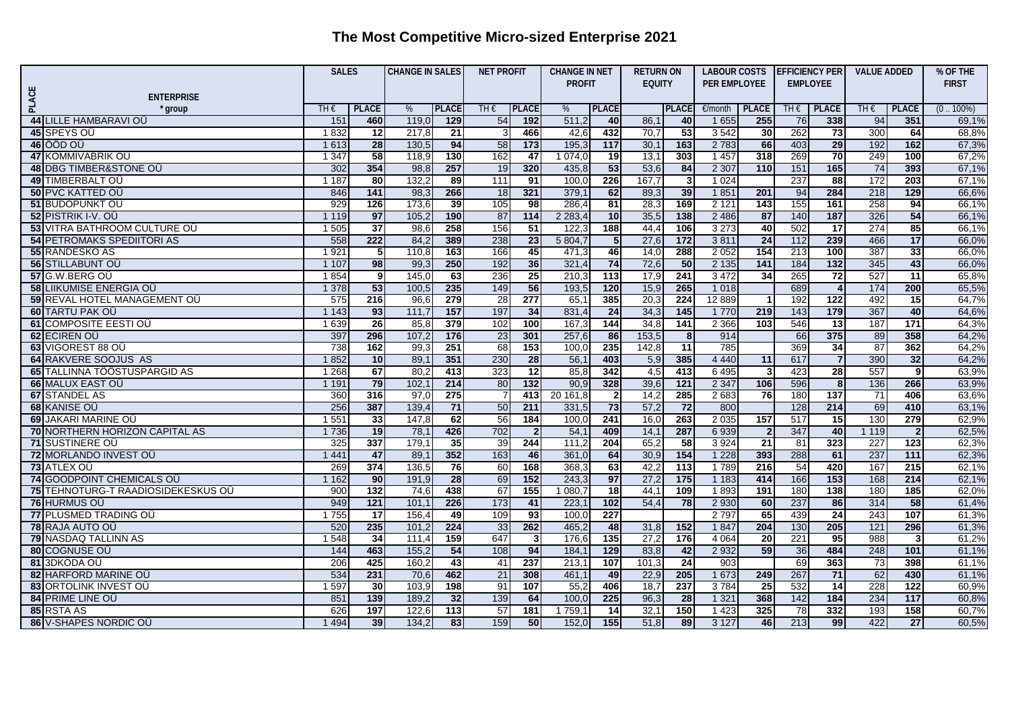|       |                                     |                   | <b>SALES</b>     |       | <b>CHANGE IN SALES</b> |                | <b>NET PROFIT</b> | <b>CHANGE IN NET</b> |                   | <b>RETURN ON</b> |                  | <b>LABOUR COSTS</b> |                 | <b>EFFICIENCY PER</b> |                  | <b>VALUE ADDED</b> |                  | % OF THE     |
|-------|-------------------------------------|-------------------|------------------|-------|------------------------|----------------|-------------------|----------------------|-------------------|------------------|------------------|---------------------|-----------------|-----------------------|------------------|--------------------|------------------|--------------|
|       |                                     |                   |                  |       |                        |                |                   | <b>PROFIT</b>        |                   | <b>EQUITY</b>    |                  | PER EMPLOYEE        |                 | <b>EMPLOYEE</b>       |                  |                    |                  | <b>FIRST</b> |
| PLACE | <b>ENTERPRISE</b>                   |                   |                  |       |                        |                |                   |                      |                   |                  |                  |                     |                 |                       |                  |                    |                  |              |
|       | group                               | TH $\epsilon$     | <b>PLACE</b>     | %     | <b>PLACE</b>           | TH $\epsilon$  | <b>PLACE</b>      | %                    | <b>PLACE</b>      |                  | <b>PLACE</b>     | €/month             | <b>PLACE</b>    | TH $\epsilon$         | <b>PLACE</b>     | TH $\epsilon$      | <b>PLACE</b>     | $(0.100\%)$  |
|       | 44 LILLE HAMBARAVI OÜ               | 151               | 460              | 119,0 | 129                    | 54             | 192               | 511,2                | 40                | 86,1             | 40               | 1 655               | 255             | 76                    | 338              | 94                 | 351              | 69,1%        |
|       | 45 SPEYS OU                         | 1832              | 12               | 217,8 | 21                     |                | 466               | 42,6                 | 432               | 70,7             | $\overline{53}$  | 3542                | 30              | 262                   | 73               | 300                | 64               | 68,8%        |
|       | <b>46 ÖÖD OÜ</b>                    | 1 6 1 3           | 28               | 130,5 | 94                     | 58             | $\frac{1}{173}$   | 195,3                | $\frac{117}{117}$ | 30,1             | 163              | 2 7 8 3             | 66              | 403                   | 29               | 192                | $\frac{162}{ }$  | 67,3%        |
|       | <b>47 KOMMIVABRIK OÜ</b>            | 1 347             | 58               | 118,9 | 130                    | 162            | 47                | 1 0 7 4 , 0          | 19                | 13,1             | 303              | 1 4 5 7             | 318             | 269                   | 70               | 249                | 100              | 67,2%        |
|       | <b>48 DBG TIMBER&amp;STONE OÜ</b>   | 302               | 354              | 98,8  | 257                    | 19             | 320               | 435,8                | 53                | 53,6             | 84               | 2 3 0 7             | 110             | 151                   | 165              | 74                 | 393              | 67,1%        |
|       | 49 TIMBERBALT OÜ                    | 1 187             | 80               | 132,  | 89                     | 111            | 91                | 100,0                | 226               | 167,7            | $\boldsymbol{3}$ | 1 0 2 4             |                 | 237                   | 88               | 172                | 203              | 67,1%        |
|       | <b>50 PVC KATTED OÜ</b>             | 846               | 141              | 98,3  | 266                    | 18             | 321               | 379,1                | 62                | 89,3             | 39               | 1851                | 201             | 94                    | 284              | 218                | 129              | 66,6%        |
|       | 51 BUDOPUNKT OÜ                     | 929               | 126              | 173,6 | 39                     | 105            | 98                | 286,4                | $\overline{81}$   | 28,3             | 169              | 2 1 2 1             | $\frac{1}{143}$ | 155                   | 161              | 258                | 94               | 66,1%        |
|       | 52 PISTRIK I-V. OU                  | 1 1 1 9           | 97               | 105,2 | 190                    | 87             | 114               | 2 2 8 3 , 4          | 10                | 35,5             | 138              | 2 4 8 6             | 87              | 140                   | 187              | 326                | 54               | 66,1%        |
|       | 53 VITRA BATHROOM CULTURE OU        | 1 505             | 37               | 98,6  | 258                    | 156            | 51                | 122,3                | 188               | 44,4             | 106              | 3273                | 40              | 502                   | $\overline{17}$  | 274                | 85               | 66,1%        |
|       | <b>54 PETROMAKS SPEDIITORI AS</b>   | 558               | 222              | 84,7  | 389                    | 238            | 23                | 5 804,7              | 5 <sub>1</sub>    | 27,6             | 172              | 3811                | 24              | 112                   | 239              | 466                | 17               | 66,0%        |
|       | 55 RANDESKO AS                      | 1.92 <sup>′</sup> | 5                | 110,8 | 163                    | 166            | 45                | 471,3                | 46                | 14,0             | 288              | 2 0 5 2             | 154             | $\overline{213}$      | 100              | 387                | $\overline{33}$  | 66,0%        |
|       | <b>56 STILLABUNT OU</b>             | 1 107             | 98               | 99,3  | 250                    | 192            | 36                | 321,4                | $\overline{74}$   | 72,6             | 50               | 2 1 3 5             | 141             | 184                   | 132              | 345                | 43               | 66.0%        |
|       | 57 G.W.BERG OU                      | 1854              | 9                | 145,0 | 63                     | 236            | 25                | 210,3                | 113               | 17,9             | 241              | 3 4 7 2             | 34              | 265                   | $\overline{72}$  | 527                | $\overline{11}$  | 65,8%        |
|       | <b>58 LIIKUMISE ENERGIA OÜ</b>      | 1 3 7 8           | 53               | 100,5 | 235                    | 149            | 56                | 193,5                | $\frac{1}{20}$    | 15,9             | 265              | 1018                |                 | 689                   | $\overline{4}$   | 174                | 200              | 65,5%        |
|       | <b>59 REVAL HOTEL MANAGEMENT OU</b> | 575               | 216              | 96,6  | 279                    | 28             | 277               | 65,1                 | 385               | 20,3             | 224              | 12 8 89             |                 | 192                   | 122              | 492                | 15               | 64,7%        |
|       | 60 TARTU PAK OÜ                     | 1 1 4 3           | 93               | 111,7 | 157                    | 197            | 34                | 831,4                | 24                | 34,3             | 145              | 1 7 7 0             | 219             | $\frac{143}{2}$       | 179              | 367                | 40               | 64,6%        |
|       | 61 COMPOSITE EESTI OÜ               | 1 639             | 26               | 85,8  | 379                    | 102            | 100               | 167,3                | 144               | 34,8             | 141              | 2 3 6 6             | 103             | 546                   | $\overline{13}$  | 187                | 171              | 64,3%        |
|       | 62 ECIREN OÜ                        | 397               | 296              | 107,7 | 176                    | 23             | 301               | 257,6                | 86                | 153,5            | 8                | 914                 |                 | 66                    | 375              | 89                 | 358              | 64,2%        |
|       | 63 VIGOREST 88 OU                   | 738               | 162              | 99,3  | 251                    | 68             | 153               | 100,0                | 235               | 142,8            | $\overline{11}$  | 785                 |                 | 369                   | 34               | 87                 | 362              | 64,2%        |
|       | <b>64 RAKVERE SOOJUS AS</b>         | 1852              | 10               | 89,   | 351                    | 230            | 28                | 56,1                 | 403               | 5,9              | 385              | 4 4 4 4 0           | 11              | 617                   | $\overline{7}$   | 390                | 32               | 64,2%        |
|       | 65 TALLINNA TÖÖSTUSPARGID AS        | 1268              | 67               | 80,   | 413                    | 323            | 12                | 85,8                 | 342               | 4,5              | 413              | 6495                | 3               | 423                   | 28               | 557                | 9                | 63,9%        |
|       | 66 MALUX EAST OU                    | 1 1 9 1           | 79               | 102,  | 214                    | 80             | $\overline{132}$  | 90,9                 | 328               | 39,6             | 121              | 2 3 4 7             | 106             | 596                   | 8 <sup>1</sup>   | 136                | 266              | 63,9%        |
|       | <b>67 STANDEL AS</b>                | 360               | 316              | 97,0  | 275                    | $\overline{7}$ | 413               | 20 161,8             | $\overline{2}$    | 14,2             | 285              | 2 6 8 3             | 76              | 180                   | $\overline{137}$ | $\overline{71}$    | 406              | 63,6%        |
|       | <b>68 KANISE OU</b>                 | 256               | 387              | 139,4 | 71                     | 50             | 211               | 331,5                | 73                | 57,2             | $\overline{72}$  | 800                 |                 | 128                   | 214              | 69                 | 410              | 63,1%        |
|       | 69 JAKARI MARINE OÜ                 | 155 <sup>′</sup>  | 33               | 147,8 | 62                     | 56             | 184               | 100,0                | 241               | 16,0             | 263              | 2 0 35              | 157             | 517                   | 15               | 130                | 279              | 62,9%        |
|       | 70 NORTHERN HORIZON CAPITAL AS      | 1736              | 19               | 78,1  | 426                    | 702            | $\overline{2}$    | 54,1                 | 409               | 14,1             | 287              | 6939                |                 | 347                   | 40               | 1 1 1 9            | $\overline{2}$   | 62,5%        |
|       | 71 SUSTINERE OU                     | 325               | 337              | 179.7 | 35                     | 39             | 244               | 111,2                | 204               | 65,2             | 58               | 3 9 2 4             | 21              | 81                    | 323              | 227                | 123              | 62,3%        |
|       | 72 MORLANDO INVESTOÜ                | 1441              | 47               | 89,1  | 352                    | 163            | 46                | 361,0                | 64                | 30,9             | 154              | 1228                | 393             | 288                   | 61               | 237                | $\overline{111}$ | 62,3%        |
|       | 73 ATLEX OU                         | 269               | 374              | 136,5 | 76                     | 60             | 168               | 368,3                | 63                | 42,2             | 113              | 1789                | 216             | 54                    | 420              | 167                | 215              | 62,1%        |
|       | <b>74 GOODPOINT CHEMICALS OU</b>    | 1 1 6 2           | 90               | 191,9 | 28                     | 69             | 152               | 243,3                | 97                | 27,2             | $\overline{175}$ | 1 1 8 3             | 414             | 166                   | 153              | 168                | 214              | 62,1%        |
|       | 75 TEHNOTURG-T RAADIOSIDEKESKUS OÜ  | 900               | 132              | 74,6  | 438                    | 67             | 155               | 080,7                | 18                | 44,1             | 109              | 1893                | 191             | 180                   | 138              | 180                | 185              | 62,0%        |
|       | 76 HURMUS OU                        | 949               | $\overline{121}$ | 101,  | 226                    | 173            | 41                | 223,7                | $102$             | 54,4             | $\overline{78}$  | 2 9 3 0             | 60              | 237                   | 86               | 314                | 58               | 61,4%        |
|       | <b>77 PLUSMED TRADING OU</b>        | 1755              | $\overline{17}$  | 156,  | 49                     | 109            | 93                | 100,0                | 227               |                  |                  | 2 7 9 7             | 65              | 439                   | 24               | 243                | 107              | 61,3%        |
|       | 78 RAJA AUTO OU                     | 520               | 235              | 101,7 | 224                    | 33             | 262               | 465,2                | 48                | 31,8             | 152              | 1847                | 204             | 130                   | 205              | 121                | 296              | 61,3%        |
|       | 79 NASDAQ TALLINN AS                | 1 5 4 8           | 34               | 111,4 | 159                    | 647            | -3                | 176,6                | $\overline{135}$  | 27,2             | 176              | 4 0 64              | 20              | 221                   | 95               | 988                | 3                | 61,2%        |
|       | 80 COGNUSE OU                       | 144               | 463              | 155,2 | 54                     | 108            | 94                | 184,1                | 129               | 83,8             | 42               | 2 9 3 2             | 59              | 36                    | 484              | 248                | 101              | 61,1%        |
|       | 81 3DKODA OÜ                        | 206               | 425              | 160,7 | 43                     | 41             | 237               | 213,1                | 107               | 101,3            | $\overline{24}$  | 903                 |                 | 69                    | 363              | 73                 | 398              | 61,1%        |
|       | 82 HARFORD MARINE OU                | 534               | 231              | 70,6  | 462                    | 21             | 308               | 461,1                | 49                | 22,9             | 205              | 1 673               | 249             | 267                   | 71               | 62                 | 430              | 61,1%        |
|       | 83 ORTOLINK INVEST OU               | 1597              | 30               | 103,9 | 198                    | 91             | 107               | 55,2                 | 406               | 18,7             | 237              | 3784                | $\overline{25}$ | 532                   | 14               | 228                | 122              | 60,9%        |
|       | 84 PRIME LINE OU                    | 851               | 139              | 189,7 | 32                     | 139            | 64                | 100,0                | 225               | 96,3             | 28               | 1 3 2 1             | 368             | 142                   | 184              | 234                | 117              | 60,8%        |
|       | 85 RSTA AS                          | 626               | 197              | 122.6 | 113                    | 57             | 181               | 1759,1               | 14                | 32,1             | 150              | 1 4 2 3             | 325             | $\overline{78}$       | 332              | 193                | 158              | 60,7%        |
|       | 86 V-SHAPES NORDIC OU               | 1494              | 39               | 134,2 | 83                     | 159            | 50                | 152,0                | 155               | 51,8             | 89               | 3127                | 46              | 213                   | 99               | 422                | $\overline{27}$  | 60,5%        |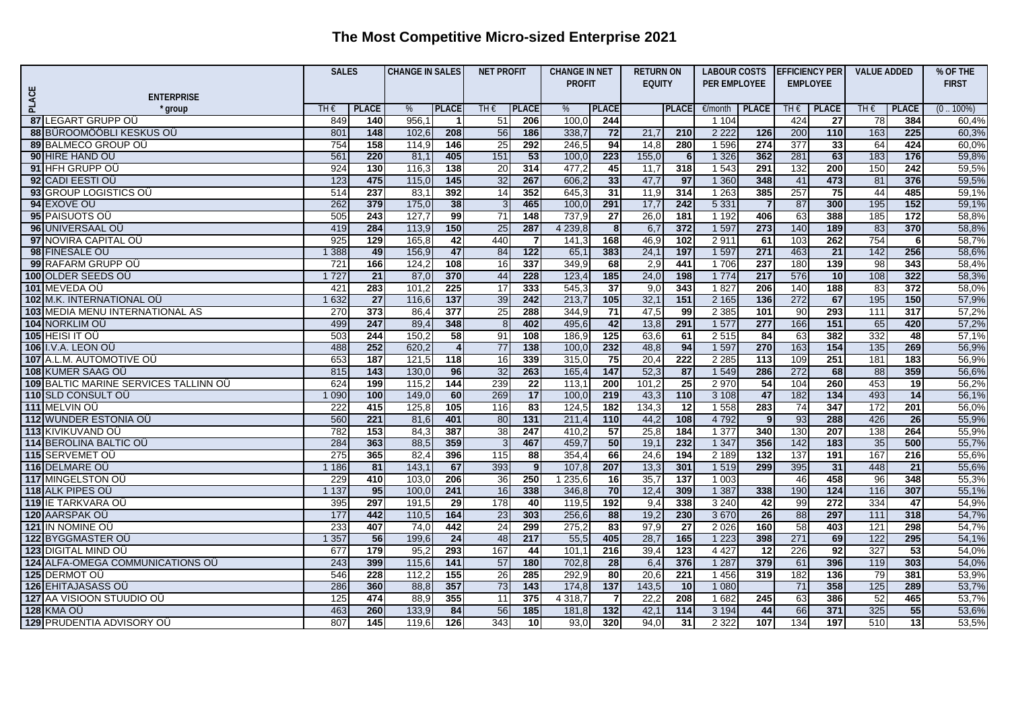|       |                                        | <b>SALES</b>   |                        | <b>CHANGE IN SALES</b> |                  | <b>NET PROFIT</b> |                  | <b>CHANGE IN NET</b> |                  | <b>RETURN ON</b> |                   | <b>LABOUR COSTS</b> |                  | <b>EFFICIENCY PER</b> |                        | <b>VALUE ADDED</b>                 |                 | % OF THE       |
|-------|----------------------------------------|----------------|------------------------|------------------------|------------------|-------------------|------------------|----------------------|------------------|------------------|-------------------|---------------------|------------------|-----------------------|------------------------|------------------------------------|-----------------|----------------|
|       |                                        |                |                        |                        |                  |                   |                  |                      | <b>PROFIT</b>    | <b>EQUITY</b>    |                   | PER EMPLOYEE        |                  | <b>EMPLOYEE</b>       |                        |                                    |                 | <b>FIRST</b>   |
| PLACE | <b>ENTERPRISE</b>                      |                |                        |                        |                  |                   |                  |                      |                  |                  |                   |                     |                  |                       |                        |                                    |                 |                |
|       | * aroup                                | TH $\epsilon$  | <b>PLACE</b>           | %                      | <b>PLACE</b>     | TH $\epsilon$     | <b>PLACE</b>     | %                    | <b>PLACE</b>     |                  | <b>PLACE</b>      | €/month             | <b>PLACE</b>     | $TH \in$              | <b>PLACE</b>           | TH $\epsilon$                      | <b>PLACE</b>    | $(0.100\%)$    |
| 87    | LEGART GRUPP OU                        | 849            | 140                    | 956,                   |                  | 51                | 206              | 100,0                | 244              |                  |                   | 1 1 0 4             |                  | 424                   | 27                     | 78                                 | 384             | 60,4%          |
|       | 88 BÜROOMÖÖBLI KESKUS OÜ               | 801            | 148                    | 102,6                  | 208              | 56                | 186              | 338,7                | 72               | 21,7             | 210               | 2 2 2 2 2           | 126              | 200                   | 110                    | 163                                | 225             | 60,3%          |
|       | 89 BALMECO GROUP OU                    | 754            | 158                    | 114,9                  | 146              | 25                | 292              | 246,5                | 94               | 14,8             | 280               | 1 5 9 6             | 274              | $\overline{377}$      | 33                     | 64                                 | 424             | 60,0%          |
|       | 90 HIRE HAND OU                        | 561            | 220                    | 81,7                   | 405              | 151               | 53               | 100,0                | 223              | 155,0            | 6                 | 1 3 2 6             | 362              | 281                   | 63                     | 183                                | 176             | 59,8%          |
|       | 91 HFH GRUPP OÜ                        | 924            | 130                    | 116,3                  | 138              | 20                | 314              | 477,2                | 45               | 11,7             | 318               | 1 5 4 3             | 291              | 132                   | 200                    | 150                                | 242             | 59,5%          |
|       | 92 CADI EESTI OÜ                       | 123            | 475                    | 115,0                  | $\overline{145}$ | 32                | 267              | 606,2                | 33               | 47,7             | 97                | 1 3 6 0             | 348              | 41                    | 473                    | 81                                 | 376             | 59,5%          |
|       | 93 GROUP LOGISTICS OU                  | 514            | 237                    | 83,1                   | 392              | 14                | 352              | 645.3                | 31               | 11,9             | 314               | 1 2 6 3             | 385              | 257                   | 75                     | 44                                 | 485             | 59,1%          |
|       | 94 EXOVE OÜ                            | 262            | 379                    | 175,0                  | 38               | 3                 | 465              | 100,0                | 291              | 17,7             | 242               | 5 3 3 1             |                  | 87                    | 300                    | 195                                | $\frac{152}{ }$ | 59,1%          |
|       | 95 PAISUOTS OU                         | 505            | 243                    | 127,7                  | 99               | $\overline{71}$   | 148              | 737,9                | $\overline{27}$  | 26,0             | 181               | 1 1 9 2             | 406              | 63                    | 388                    | 185                                | 172             | 58,8%          |
|       | 96 UNIVERSAAL OÜ                       | 419            | 284                    | 113,9                  | 150              | 25                | 287              | 4 2 3 9, 8           | 8                | 6,7              | 372               | 1 5 9 7             | 273              | 140                   | 189                    | 83                                 | 370             | 58,8%          |
|       | 97 NOVIRA CAPITAL OU<br>98 FINESALE OU | 925            | 129                    | 165,8                  | 42               | 440               | -7<br>122        | 141,3                | 168              | 46,9             | 102<br>197        | 2911                | 61               | 103                   | 262                    | 754                                | 6               | 58,7%          |
|       | 99 RAFARM GRUPP OU                     | 1 3 8 8<br>721 | 49<br>166              | 156,9                  | 47<br>108        | 84<br>16          | 337              | 65,1<br>349,9        | 383<br>68        | 24,1             | 441               | 1 5 9 7<br>1706     | 271<br>237       | 463<br>180            | $\overline{21}$<br>139 | $\frac{142}{2}$<br>$\overline{98}$ | 256<br>343      | 58,6%<br>58,4% |
|       |                                        |                |                        | 124,2                  | 370              |                   | 228              |                      | 185              | 2,9              | 198               |                     | 217              | 576                   | 10 <sub>l</sub>        |                                    | 322             |                |
|       | 100 OLDER SEEDS OU<br>101 MEVEDA OÜ    | 1 7 2 7<br>421 | $\overline{21}$<br>283 | 87,0<br>101,2          | $\overline{225}$ | 44<br>17          | 333              | 123,4<br>545,3       | 37               | 24,0<br>9,0      | 343               | 1 7 7 4<br>1827     | 206              | 140                   | 188                    | 108<br>83                          | 372             | 58,3%<br>58,0% |
|       | 102 M.K. INTERNATIONAL OU              | 1 6 3 2        | $\overline{27}$        | 116,6                  | 137              | 39                | 242              | 213,7                | 105              | 32,1             | 151               | 2 1 6 5             | 136              | 272                   | 67                     | 195                                | 150             | 57,9%          |
|       | 103 MEDIA MENU INTERNATIONAL AS        | 270            | 373                    | 86,4                   | 377              | 25                | 288              | 344,9                | 71               | 47,5             | $\overline{99}$   | 2 3 8 5             | 101              | 90                    | 293                    | $\overline{111}$                   | 317             | 57,2%          |
|       | <b>104 NORKLIM OÜ</b>                  | 499            | 247                    | 89,4                   | 348              | 8                 | 402              | 495,6                | 42               | 13,8             | 291               | 1 577               | 277              | 166                   | 151                    | 65                                 | 420             | 57,2%          |
|       | 105 HEISI IT OÜ                        | 503            | 244                    | 150,2                  | 58               | 91                | 108              | 186,9                | 125              | 63,6             | 61                | 2515                | 84               | 63                    | 382                    | 332                                | 48              | 57,1%          |
|       | <b>106 I.V.A. LEON OU</b>              | 488            | 252                    | 620,2                  |                  | $\overline{77}$   | 138              | 100,0                | 232              | 48,8             | 94                | 1 5 9 7             | 270              | 163                   | 154                    | $135$                              | 269             | 56,9%          |
|       | 107 A.L.M. AUTOMOTIVE OU               | 653            | 187                    | 121,5                  | 118              | 16                | 339              | 315,0                | 75               | 20,4             | 222               | 2 2 8 5             | $\overline{113}$ | 109                   | 251                    | 181                                | 183             | 56,9%          |
|       | <b>108 KUMER SAAG OU</b>               | 815            | 143                    | 130,0                  | 96               | 32                | 263              | 165,4                | 147              | 52,3             | 87                | 1 5 4 9             | 286              | 272                   | 68                     | 88                                 | 359             | 56,6%          |
|       | 109 BALTIC MARINE SERVICES TALLINN OU  | 624            | 199                    | 115,2                  | 144              | 239               | $\overline{22}$  | 113,1                | 200              | 101,2            | $\overline{25}$   | 2 9 7 0             | 54               | 104                   | 260                    | 453                                | 19              | 56,2%          |
|       | 110 SLD CONSULT OU                     | 1 0 9 0        | 100                    | 149,0                  | 60               | 269               | $\overline{17}$  | 100,0                | 219              | 43,3             | $\frac{110}{110}$ | 3 1 0 8             | 47               | 182                   | 134                    | 493                                | 14              | 56,1%          |
|       | 111 MELVIN OÜ                          | 222            | 415                    | 125,8                  | 105              | 116               | 83               | 124,5                | 182              | 134,3            | $\overline{12}$   | 1 5 5 8             | 283              | $\overline{74}$       | 347                    | 172                                | 201             | 56,0%          |
|       | 112 WUNDER ESTONIA OU                  | 560            | 221                    | 81,6                   | 401              | 80                | 131              | 211,4                | $\overline{110}$ | 44,2             | 108               | 4 7 9 2             | 9                | 93                    | 288                    | 426                                | 26              | 55,9%          |
|       | 113 KIVIKUVAND OÜ                      | 782            | 153                    | 84,3                   | 387              | $\overline{38}$   | 247              | 410,2                | 57               | 25,8             | 184               | 1 3 7 7             | 340              | 130                   | 207                    | 138                                | 264             | 55,9%          |
|       | 114 BEROLINA BALTIC OÜ                 | 284            | 363                    | 88,5                   | 359              | $\mathbf{3}$      | 467              | 459,7                | 50               | 19,1             | 232               | 1 3 4 7             | 356              | $\overline{142}$      | 183                    | 35                                 | 500             | 55,7%          |
|       | 115 SERVEMET OU                        | 275            | 365                    | 82,4                   | 396              | $\frac{115}{2}$   | 88               | 354,4                | 66               | 24,6             | 194               | 2 189               | $\overline{132}$ | 137                   | 191                    | 167                                | 216             | 55,6%          |
|       | 116 DELMARE OU                         | 1 1 8 6        | 81                     | 143,7                  | 67               | 393               | 9                | 107,8                | 207              | 13,3             | 301               | 1519                | 299              | 395                   | 31                     | 448                                | $\overline{21}$ | 55,6%          |
|       | 117 MINGELSTON OU                      | 229            | 410                    | 103,0                  | 206              | 36                | 250              | 1 2 3 5, 6           | 16               | 35,7             | 137               | 1 0 0 3             |                  | 46                    | 458                    | 96                                 | 348             | 55,3%          |
|       | 118 ALK PIPES OU                       | 1 1 3 7        | 95                     | 100,0                  | 241              | 16                | 338              | 346,8                | 70               | 12,4             | 309               | 1 3 8 7             | 338              | 190                   | $\overline{124}$       | 116                                | 307             | 55,1%          |
|       | <b>119 IE TARKVARA OÜ</b>              | 395            | 297                    | 191,5                  | 29               | 178               | 40               | 119,5                | 192              | 9,4              | 338               | 3 2 4 0             | 42               | 99                    | 272                    | 334                                | 47              | 54,9%          |
|       | 120 AARSPAK OU                         | 177            | 442                    | 110,5                  | 164              | 23                | 303              | 256,6                | 88               | 19,2             | 230               | 3670                | 26               | 88                    | 297                    | 111                                | 318             | 54,7%          |
|       | 121 IN NOMINE OU                       | 233            | 407                    | 74,0                   | 442              | $\overline{24}$   | 299              | 275,2                | 83               | 97,9             | $\overline{27}$   | 2 0 2 6             | 160              | 58                    | 403                    | 121                                | 298             | 54,7%          |
|       | 122 BYGGMASTER OÜ                      | 1 3 5 7        | 56                     | 199,6                  | 24               | 48                | 217              | 55,5                 | 405              | 28,7             | 165               | 1 2 2 3             | 398              | 271                   | 69                     | $\overline{122}$                   | 295             | 54,1%          |
|       | <b>123 DIGITAL MIND OU</b>             | 677            | 179                    | 95,2                   | 293              | 167               | 44               | 101,1                | 216              | 39,4             | 123               | 4 4 2 7             | 12               | 226                   | 92                     | 327                                | $\overline{53}$ | 54,0%          |
|       | 124 ALFA-OMEGA COMMUNICATIONS OU       | 243            | 399                    | 115,6                  | $\overline{141}$ | 57                | 180              | 702,8                | 28               | 6,4              | 376               | 1 2 8 7             | 379              | 61                    | 396                    | 119                                | 303             | 54,0%          |
|       | 125 DERMOT OU                          | 546            | 228                    | 112,2                  | 155              | 26                | 285              | 292,9                | 80               | 20,6             | 221               | 1 4 5 6             | 319              | 182                   | 136                    | 79                                 | 381             | 53,9%          |
|       | <b>126 EHITAJASASS OÜ</b>              | 286            | 360                    | 88,8                   | 357              | 73                | $\overline{143}$ | 174,8                | 137              | 143,5            | 10                | 1 0 8 0             |                  | 71                    | 358                    | 125                                | 289             | 53,7%          |
|       | 127 AA VISIOON STUUDIO OÜ              | 125            | 474                    | 88,9                   | 355              | 11                | 375              | 4 3 1 8 , 7          | -7               | 22.2             | 208               | 1682                | 245              | 63                    | 386                    | 52                                 | 465             | 53,7%          |
|       | <b>128 KMA OÜ</b>                      | 463            | 260                    | 133,9                  | 84               | 56                | 185              | 181,8                | 132              | 42,7             | 114               | 3 1 9 4             | 44               | 66                    | 371                    | 325                                | 55              | 53,6%          |
|       | 129 PRUDENTIA ADVISORY OÜ              | 807            | 145                    | 119,6                  | 126              | 343               | 10 <sup>1</sup>  | 93,0                 | 320              | 94,0             | 31                | 2 3 2 2             | 107              | 134                   | 197                    | 510                                | $\overline{13}$ | 53,5%          |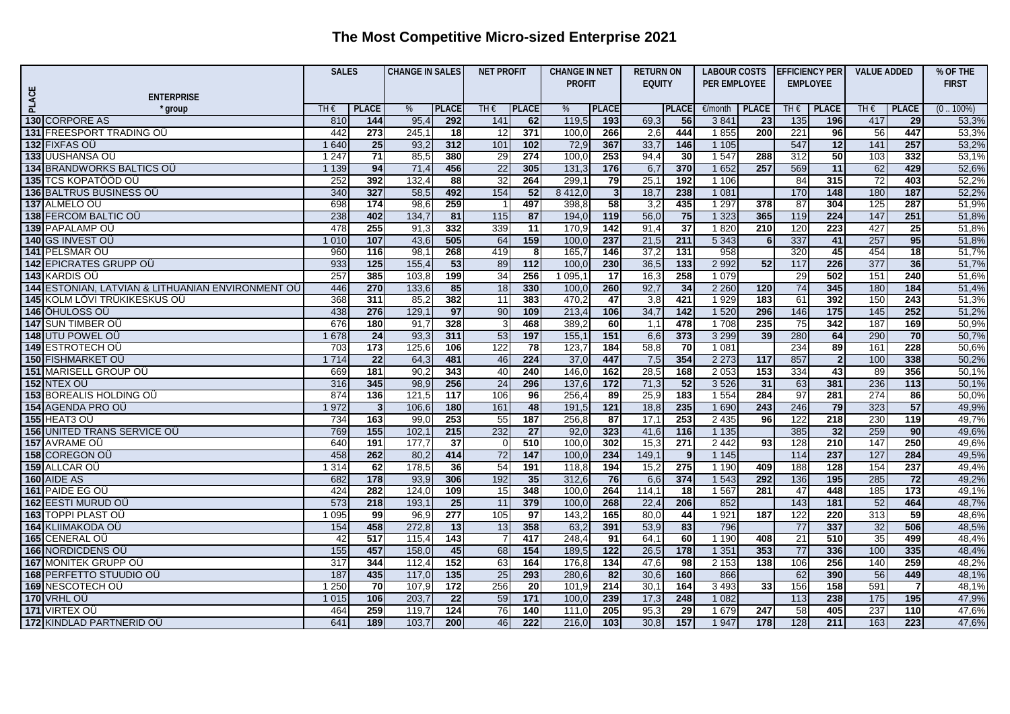|       |                                                   | <b>SALES</b>  |                         | <b>CHANGE IN SALES</b> |                 | <b>NET PROFIT</b> |                  | <b>CHANGE IN NET</b> |                  | <b>RETURN ON</b> |                        | LABOUR COSTS    |                | <b>EFFICIENCY PER</b> |                 | <b>VALUE ADDED</b> |              | % OF THE       |
|-------|---------------------------------------------------|---------------|-------------------------|------------------------|-----------------|-------------------|------------------|----------------------|------------------|------------------|------------------------|-----------------|----------------|-----------------------|-----------------|--------------------|--------------|----------------|
|       |                                                   |               |                         |                        |                 |                   |                  | <b>PROFIT</b>        |                  | <b>EQUITY</b>    |                        | PER EMPLOYEE    |                | <b>EMPLOYEE</b>       |                 |                    |              | <b>FIRST</b>   |
|       | <b>ENTERPRISE</b>                                 |               |                         |                        |                 |                   |                  |                      |                  |                  |                        |                 |                |                       |                 |                    |              |                |
| PLACE | * group                                           | TH $\epsilon$ | <b>PLACE</b>            | %                      | <b>PLACE</b>    | TH $\epsilon$     | <b>PLACE</b>     | %                    | <b>PLACE</b>     |                  | <b>PLACE</b>           | €/month         | <b>PLACE</b>   | $TH \in$              | <b>PLACE</b>    | TH $\epsilon$      | <b>PLACE</b> | $(0.100\%)$    |
|       | 130 CORPORE AS                                    | 810           | 144                     | 95,4                   | 292             | 141               | 62               | 119,5                | 193              | 69,3             | 56                     | 3841            | 23             | 135                   | 196             | 417                | 29           | 53,3%          |
|       | 131 FREESPORT TRADING OU                          | 442           | 273                     | 245,7                  | 18              | 12                | 371              | 100,0                | 266              | 2,6              | 444                    | 1855            | 200            | 221                   | 96              | 56                 | 447          | 53,3%          |
|       | 132 FIXFAS OÜ                                     | 1 640         | 25                      | 93,2                   | 312             | 101               | $\frac{1}{102}$  | 72,9                 | 367              | 33,7             | 146                    | 1105            |                | 547                   | $\overline{12}$ | 141                | 257          | 53,2%          |
|       | 133 UUSHANSA OÜ                                   | 1 2 4 7       | $\overline{71}$         | 85,5                   | 380             | 29                | 274              | 100,0                | 253              | 94,4             | 30                     | 1 5 4 7         | 288            | 312                   | 50              | 103                | 332          | 53,1%          |
|       | 134 BRANDWORKS BALTICS OU                         | 1 1 3 9       | 94                      | 71,4                   | 456             | 22                | 305              | 131,3                | 176              | 6,7              | 370                    | 1 6 5 2         | 257            | 569                   | 11              | 62                 | 429          | 52,6%          |
|       | 135 TCS KOPATOOD OU                               | 252           | 392                     | 132,4                  | 88              | $\overline{32}$   | 264              | 299,1                | 79               | 25,1             | 192                    | 1 1 0 6         |                | 84                    | 315             | 72                 | 403          | 52,2%          |
|       | <b>136 BALTRUS BUSINESS OU</b>                    | 340           | 327                     | 58,5                   | 492             | 154               | 52               | 8 4 1 2 , 0          | $\mathbf{3}$     | 18,7             | 238                    | 1 0 8 1         |                | 170                   | 148             | 180                | 187          | 52,2%          |
|       | 137 ALMELO OÜ                                     | 698           | 174                     | 98,6                   | 259             |                   | 497              | 398,8                | 58               | 3,2              | 435                    | 1 2 9 7         | 378            | 87                    | 304             | 125                | 287          | 51,9%          |
|       | <b>138 FERCOM BALTIC OU</b>                       | 238           | 402                     | 134,7                  | 81              | 115               | 87               | 194,0                | 119              | 56,0             | 75                     | 1 3 2 3         | 365            | 119                   | 224             | 147                | 251          | 51,8%          |
|       | 139 PAPALAMP OÜ                                   | 478           | 255                     | 91,3                   | 332             | 339               | 11               | 170.9                | 142              | 91,4             | 37                     | 1820            | 210            | 120                   | 223             | 427                | 25           | 51.8%          |
|       | 140 GS INVEST OU                                  | 1 0 1 0       | 107                     | 43,6                   | 505             | 64                | 159              | 100,0                | 237              | 21,5             | 211                    | 5 3 4 3         | 6              | 337                   | 41              | 257                | 95           | 51,8%          |
|       | 141 PELSMAR OÜ                                    | 960           | 116                     | 98,1                   | 268             | 419               | 8                | 165,7                | $\frac{146}{ }$  | 37,2             | $\overline{131}$       | 958             |                | 320                   | 45              | 454                | 18           | 51,7%          |
|       | <b>142 EPICRATES GRUPP OU</b>                     | 933           | 125                     | 155,4                  | 53              | 89                | 112              | 100,0                | 230              | 36,5             | 133                    | 2 9 9 2         | 52             | 117                   | 226             | $\overline{377}$   | 36           | 51,7%          |
|       | 143 KARDIS OÜ                                     | 257           | 385                     | 103,8                  | 199             | 34                | 256              | 1095,1               | $-17$            | 16,3             | 258                    | 1 0 7 9         |                | 29                    | 502             | 151                | 240          | 51,6%          |
|       | 144 ESTONIAN, LATVIAN & LITHUANIAN ENVIRONMENT OÜ | 446           | 270                     | 133,6                  | 85              | 18                | 330              | 100,0                | 260              | 92,7             | 34                     | 2 2 6 0         | 120            | $\overline{74}$       | 345             | 180                | 184          | 51,4%          |
|       | 145 KOLM LÖVI TRÜKIKESKUS OÜ                      | 368           | 311                     | 85,2                   | 382             | 11                | 383              | 470,2                | 47               | 3,8              | 421                    | 1929            | 183            | 61                    | 392             | 150                | 243          | 51,3%          |
|       | 146 ÕHULOSS OÜ<br><b>147 SUN TIMBER OU</b>        | 438<br>676    | 276<br>180              | 129,7                  | 97<br>328       | 90                | 109<br>468       | 213,4<br>389,2       | 106<br>60        | 34,7             | $\frac{1}{142}$<br>478 | 1 5 2 0         | 296<br>235     | 146<br>75             | 175<br>342      | 145<br>187         | 252<br>169   | 51,2%<br>50,9% |
|       | 148 UTU POWEL OÜ                                  | 1678          | 24                      | 91,7<br>93,3           | 311             | 3<br>53           | 197              | 155,1                | $\overline{151}$ | 1,1<br>6,6       | 373                    | 1708<br>3 2 9 9 | 39             | 280                   | 64              | 290                | 70           | 50,7%          |
|       | <b>149 ESTROTECH OU</b>                           | 703           | 173                     | 125,6                  | 106             | 122               | $\overline{78}$  | 123,7                | 184              | 58,8             | 70                     | 1 0 8 1         |                | 234                   | 89              | 161                | 228          | 50,6%          |
|       | <b>150 FISHMARKET OU</b>                          | 1 7 1 4       | $\overline{22}$         | 64,3                   | 481             | 46                | 224              | 37,0                 | 447              | 7,5              | 354                    | 2 2 7 3         | 117            | 857                   | $\overline{2}$  | 100                | 338          | 50,2%          |
|       | 151 MARISELL GROUP OU                             | 669           | 181                     | 90,7                   | 343             | 40                | 240              | 146,0                | 162              | 28,5             | 168                    | 2 0 5 3         | 153            | 334                   | 43              | 89                 | 356          | 50,1%          |
|       | 152 NTEX OU                                       | 316           | 345                     | 98,9                   | 256             | 24                | 296              | 137,6                | 172              | 71,3             | 52                     | 3 5 2 6         | 31             | 63                    | 381             | 236                | 113          | 50,1%          |
|       | <b>153 BOREALIS HOLDING OU</b>                    | 874           | 136                     | 121,5                  | 117             | 106               | 96               | 256,4                | 89               | 25,9             | 183                    | 1 5 5 4         | 284            | 97                    | 281             | 274                | 86           | 50.0%          |
|       | <b>154 AGENDA PRO OÜ</b>                          | 1 9 7 2       | $\overline{\mathbf{3}}$ | 106,6                  | 180             | 161               | 48               | 191,5                | $\overline{121}$ | 18,8             | 235                    | 1 6 9 0         | 243            | 246                   | 79              | 323                | 57           | 49,9%          |
|       | <b>155 HEAT3 OU</b>                               | 734           | 163                     | 99,0                   | 253             | 55                | 187              | 256,8                | 87               | 17,1             | 253                    | 2 4 3 5         | 96             | 122                   | 218             | 230                | 119          | 49,7%          |
|       | 156 UNITED TRANS SERVICE OU                       | 769           | 155                     | 102,                   | 215             | 232               | 27               | 92,0                 | 323              | 41,6             | 116                    | 1 1 3 5         |                | 385                   | 32              | 259                | 90           | 49,6%          |
|       | 157 AVRAME OU                                     | 640           | 191                     | 177,7                  | $\overline{37}$ | $\Omega$          | 510              | 100,0                | 302              | 15,3             | 271                    | 2 4 4 2         | 93             | 128                   | 210             | 147                | 250          | 49,6%          |
|       | 158 COREGON OÜ                                    | 458           | 262                     | 80,2                   | 414             | 72                | $\frac{147}{2}$  | 100,0                | 234              | 149,1            | 9                      | 1 1 4 5         |                | 114                   | 237             | 127                | 284          | 49,5%          |
|       | 159 ALLCAR OU                                     | 1 3 1 4       | 62                      | 178,5                  | 36              | 54                | 191              | 118,8                | 194              | 15,2             | 275                    | 1 1 9 0         | 409            | 188                   | 128             | 154                | 237          | 49.4%          |
|       | 160 AIDE AS                                       | 682           | $\frac{1}{178}$         | 93,9                   | 306             | 192               | 35               | 312,6                | 76               | 6,6              | 374                    | 1 5 4 3         | 292            | 136                   | 195             | 285                | 72           | 49,2%          |
|       | 161 PAIDE EG OU                                   | 424           | 282                     | 124,0                  | 109             | 15                | 348              | 100,0                | 264              | 114,1            | $\overline{18}$        | 1567            | 281            | 47                    | 448             | 185                | 173          | 49,1%          |
|       | 162 EESTI MURUD OÜ                                | 573           | 218                     | 193,                   | $\overline{25}$ | 11                | 379              | 100,0                | 268              | 22,4             | 206                    | 852             |                | 143                   | 181             | 52                 | 464          | 48,7%          |
|       | <b>163 TOPPI PLAST OU</b>                         | 1 0 9 5       | 99                      | 96,9                   | 277             | 105               | 97               | 143,2                | 165              | 80,0             | 44                     | 1 9 2 1         | 187            | 122                   | 220             | 313                | 59           | 48,6%          |
|       | 164 KLIIMAKODA OÜ                                 | 154           | 458                     | 272,8                  | 13              | 13                | 358              | 63,2                 | 391              | 53,9             | 83                     | 796             |                | 77                    | 337             | 32                 | 506          | 48,5%          |
|       | 165 CENERAL OÜ                                    | 42            | 517                     | 115,4                  | $\frac{1}{143}$ | $\overline{7}$    | 417              | 248,4                | 91               | 64,1             | 60                     | 1190            | 408            | 21                    | 510             | 35                 | 499          | 48,4%          |
|       | 166 NORDICDENS OU                                 | 155           | 457                     | 158,0                  | 45              | 68                | 154              | 189,5                | $122$            | 26,5             | 178                    | 1 3 5 1         | 353            | 77                    | 336             | 100                | 335          | 48,4%          |
|       | 167 MONITEK GRUPP OÜ                              | 317           | 344                     | 112,4                  | 152             | 63                | 164              | 176,8                | 134              | 47,6             | 98                     | 2 1 5 3         | $\frac{1}{38}$ | 106                   | 256             | 140                | 259          | 48,2%          |
|       | 168 PERFETTO STUUDIO OÜ                           | 187           | 435                     | 117,0                  | 135             | 25                | 293              | 280,6                | 82               | 30,6             | 160                    | 866             |                | 62                    | 390             | 56                 | 449          | 48,1%          |
|       | 169 NESCOTECH OU                                  | 1 2 5 0       | 70                      | 107,9                  | 172             | 256               | $\overline{20}$  | 101,9                | 214              | 30,1             | 164                    | 3 4 9 3         | 33             | 156                   | 158             | 591                | 7            | 48,1%          |
|       | 170 VRHL OU                                       | 1 0 1 5       | 106                     | 203,                   | 22              | 59                | $171$            | 100,0                | 239              | 17,3             | 248                    | 1 0 8 2         |                | 113                   | 238             | 175                | 195          | 47,9%          |
|       | 171 VIRTEX OU                                     | 464           | 259                     | 119,7                  | 124             | 76                | 140              | 111.0                | 205              | 95,3             | 29                     | 1 679           | 247            | 58                    | 405             | 237                | 110          | 47,6%          |
|       | 172 KINDLAD PARTNERID OÜ                          | 641           | 189                     | 103,7                  | 200             | 46                | $\overline{222}$ | 216,0                | $103$            | 30,8             | 157                    | 1 9 4 7         | 178            | 128                   | 211             | 163                | 223          | 47,6%          |